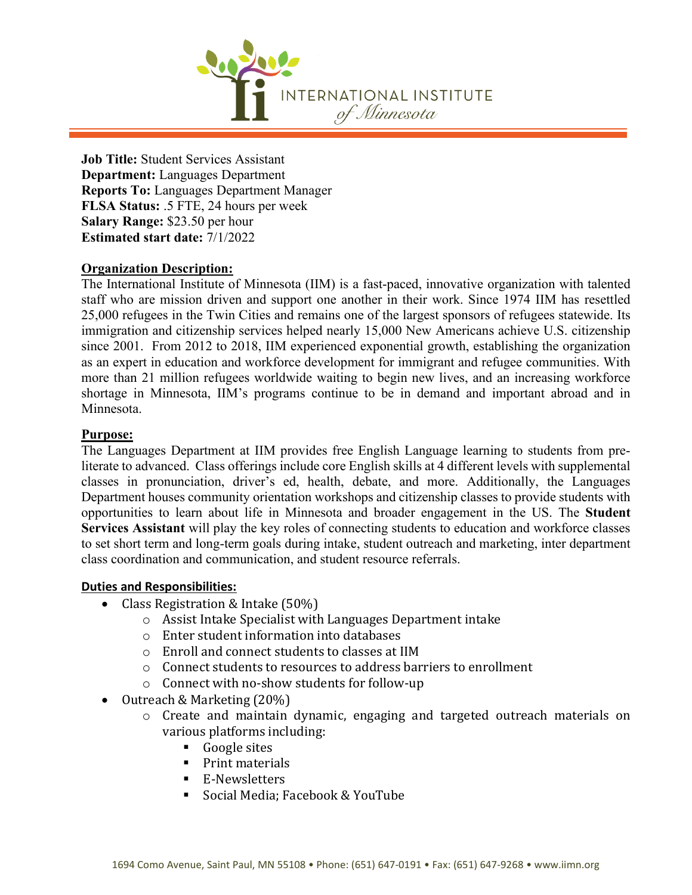

**Job Title:** Student Services Assistant **Department:** Languages Department **Reports To:** Languages Department Manager **FLSA Status:** .5 FTE, 24 hours per week **Salary Range:** \$23.50 per hour **Estimated start date:** 7/1/2022

# **Organization Description:**

The International Institute of Minnesota (IIM) is a fast-paced, innovative organization with talented staff who are mission driven and support one another in their work. Since 1974 IIM has resettled 25,000 refugees in the Twin Cities and remains one of the largest sponsors of refugees statewide. Its immigration and citizenship services helped nearly 15,000 New Americans achieve U.S. citizenship since 2001. From 2012 to 2018, IIM experienced exponential growth, establishing the organization as an expert in education and workforce development for immigrant and refugee communities. With more than 21 million refugees worldwide waiting to begin new lives, and an increasing workforce shortage in Minnesota, IIM's programs continue to be in demand and important abroad and in Minnesota.

# **Purpose:**

The Languages Department at IIM provides free English Language learning to students from preliterate to advanced. Class offerings include core English skills at 4 different levels with supplemental classes in pronunciation, driver's ed, health, debate, and more. Additionally, the Languages Department houses community orientation workshops and citizenship classes to provide students with opportunities to learn about life in Minnesota and broader engagement in the US. The **Student Services Assistant** will play the key roles of connecting students to education and workforce classes to set short term and long-term goals during intake, student outreach and marketing, inter department class coordination and communication, and student resource referrals.

## **Duties and Responsibilities:**

- Class Registration & Intake (50%)
	- o Assist Intake Specialist with Languages Department intake
	- o Enter student information into databases
	- o Enroll and connect students to classes at IIM
	- o Connect students to resources to address barriers to enrollment
	- o Connect with no-show students for follow-up
- Outreach & Marketing (20%)
	- o Create and maintain dynamic, engaging and targeted outreach materials on various platforms including:
		- Google sites
		- Print materials
		- **E-Newsletters**<br>Cocial Modia: E
		- Social Media; Facebook & YouTube